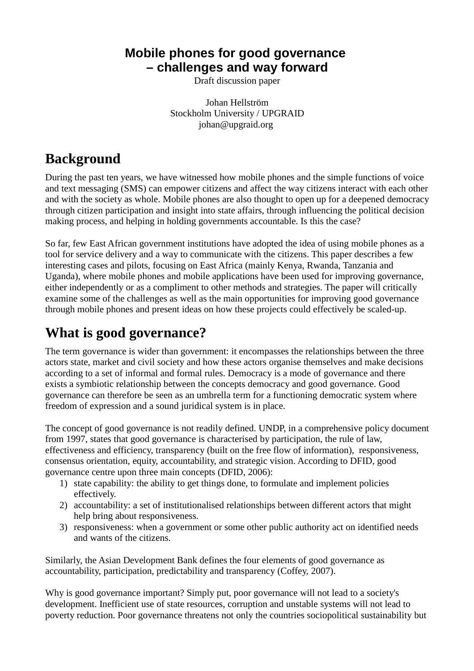### **Mobile phones for good governance – challenges and way forward**

Draft discussion paper

Johan Hellström Stockholm University / UPGRAID johan@upgraid.org

## **Background**

During the past ten years, we have witnessed how mobile phones and the simple functions of voice and text messaging (SMS) can empower citizens and affect the way citizens interact with each other and with the society as whole. Mobile phones are also thought to open up for a deepened democracy through citizen participation and insight into state affairs, through influencing the political decision making process, and helping in holding governments accountable. Is this the case?

So far, few East African government institutions have adopted the idea of using mobile phones as a tool for service delivery and a way to communicate with the citizens. This paper describes a few interesting cases and pilots, focusing on East Africa (mainly Kenya, Rwanda, Tanzania and Uganda), where mobile phones and mobile applications have been used for improving governance, either independently or as a compliment to other methods and strategies. The paper will critically examine some of the challenges as well as the main opportunities for improving good governance through mobile phones and present ideas on how these projects could effectively be scaled-up.

# **What is good governance?**

The term governance is wider than government: it encompasses the relationships between the three actors state, market and civil society and how these actors organise themselves and make decisions according to a set of informal and formal rules. Democracy is a mode of governance and there exists a symbiotic relationship between the concepts democracy and good governance. Good governance can therefore be seen as an umbrella term for a functioning democratic system where freedom of expression and a sound juridical system is in place.

The concept of good governance is not readily defined. UNDP, in a comprehensive policy document from 1997, states that good governance is characterised by participation, the rule of law, effectiveness and efficiency, transparency (built on the free flow of information), responsiveness, consensus orientation, equity, accountability, and strategic vision. According to DFID, good governance centre upon three main concepts (DFID, 2006):

- 1) state capability: the ability to get things done, to formulate and implement policies effectively.
- 2) accountability: a set of institutionalised relationships between different actors that might help bring about responsiveness.
- 3) responsiveness: when a government or some other public authority act on identified needs and wants of the citizens.

Similarly, the Asian Development Bank defines the four elements of good governance as accountability, participation, predictability and transparency (Coffey, 2007).

Why is good governance important? Simply put, poor governance will not lead to a society's development. Inefficient use of state resources, corruption and unstable systems will not lead to poverty reduction. Poor governance threatens not only the countries sociopolitical sustainability but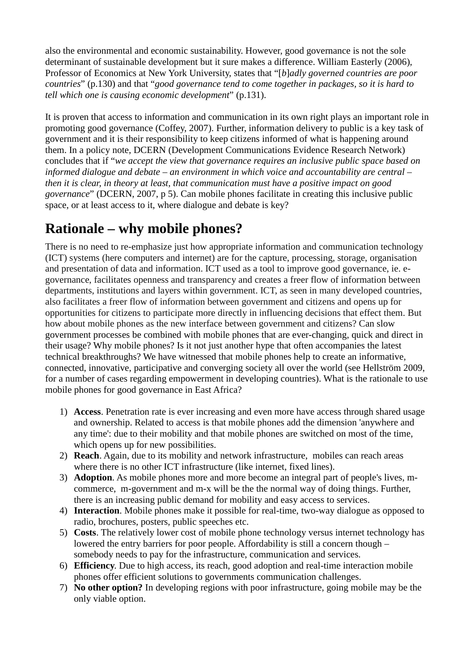also the environmental and economic sustainability. However, good governance is not the sole determinant of sustainable development but it sure makes a difference. William Easterly (2006), Professor of Economics at New York University, states that "[*b*]*adly governed countries are poor countries*" (p.130) and that "*good governance tend to come together in packages, so it is hard to tell which one is causing economic development*" (p.131).

It is proven that access to information and communication in its own right plays an important role in promoting good governance (Coffey, 2007). Further, information delivery to public is a key task of government and it is their responsibility to keep citizens informed of what is happening around them. In a policy note, DCERN (Development Communications Evidence Research Network) concludes that if "*we accept the view that governance requires an inclusive public space based on informed dialogue and debate – an environment in which voice and accountability are central – then it is clear, in theory at least, that communication must have a positive impact on good governance*" (DCERN, 2007, p 5). Can mobile phones facilitate in creating this inclusive public space, or at least access to it, where dialogue and debate is key?

# **Rationale – why mobile phones?**

There is no need to re-emphasize just how appropriate information and communication technology (ICT) systems (here computers and internet) are for the capture, processing, storage, organisation and presentation of data and information. ICT used as a tool to improve good governance, ie. egovernance, facilitates openness and transparency and creates a freer flow of information between departments, institutions and layers within government. ICT, as seen in many developed countries, also facilitates a freer flow of information between government and citizens and opens up for opportunities for citizens to participate more directly in influencing decisions that effect them. But how about mobile phones as the new interface between government and citizens? Can slow government processes be combined with mobile phones that are ever-changing, quick and direct in their usage? Why mobile phones? Is it not just another hype that often accompanies the latest technical breakthroughs? We have witnessed that mobile phones help to create an informative, connected, innovative, participative and converging society all over the world (see Hellström 2009, for a number of cases regarding empowerment in developing countries). What is the rationale to use mobile phones for good governance in East Africa?

- 1) **Access**. Penetration rate is ever increasing and even more have access through shared usage and ownership. Related to access is that mobile phones add the dimension 'anywhere and any time': due to their mobility and that mobile phones are switched on most of the time, which opens up for new possibilities.
- 2) **Reach**. Again, due to its mobility and network infrastructure, mobiles can reach areas where there is no other ICT infrastructure (like internet, fixed lines).
- 3) **Adoption**. As mobile phones more and more become an integral part of people's lives, mcommerce, m-government and m-x will be the the normal way of doing things. Further, there is an increasing public demand for mobility and easy access to services.
- 4) **Interaction**. Mobile phones make it possible for real-time, two-way dialogue as opposed to radio, brochures, posters, public speeches etc.
- 5) **Costs**. The relatively lower cost of mobile phone technology versus internet technology has lowered the entry barriers for poor people. Affordability is still a concern though – somebody needs to pay for the infrastructure, communication and services.
- 6) **Efficiency**. Due to high access, its reach, good adoption and real-time interaction mobile phones offer efficient solutions to governments communication challenges.
- 7) **No other option?** In developing regions with poor infrastructure, going mobile may be the only viable option.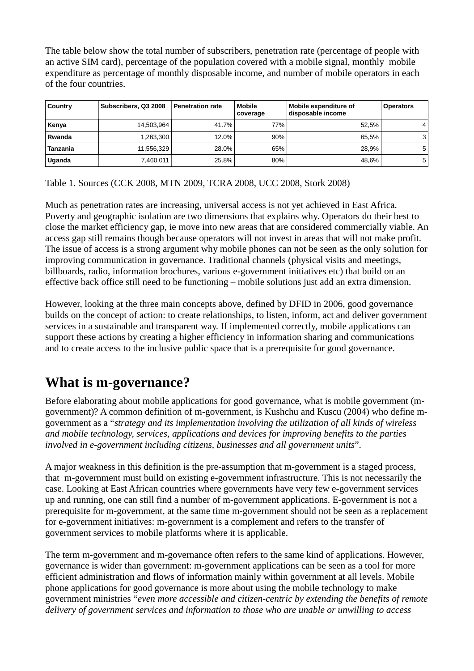The table below show the total number of subscribers, penetration rate (percentage of people with an active SIM card), percentage of the population covered with a mobile signal, monthly mobile expenditure as percentage of monthly disposable income, and number of mobile operators in each of the four countries.

| Country  | Subscribers, Q3 2008 | <b>Penetration rate</b> | Mobile<br>coverage | Mobile expenditure of<br>disposable income | <b>Operators</b> |
|----------|----------------------|-------------------------|--------------------|--------------------------------------------|------------------|
| Kenya    | 14.503.964           | 41.7%                   | 77%                | 52.5%                                      | 4'               |
| Rwanda   | 1.263.300            | 12.0%                   | 90%                | 65.5%                                      | 3 I              |
| Tanzania | 11,556,329           | 28.0%                   | 65%                | 28.9%                                      | 5 <sub>1</sub>   |
| Uganda   | 7,460,011            | 25.8%                   | 80%                | 48.6%                                      | 5 <sub>1</sub>   |

Table 1. Sources (CCK 2008, MTN 2009, TCRA 2008, UCC 2008, Stork 2008)

Much as penetration rates are increasing, universal access is not yet achieved in East Africa. Poverty and geographic isolation are two dimensions that explains why. Operators do their best to close the market efficiency gap, ie move into new areas that are considered commercially viable. An access gap still remains though because operators will not invest in areas that will not make profit. The issue of access is a strong argument why mobile phones can not be seen as the only solution for improving communication in governance. Traditional channels (physical visits and meetings, billboards, radio, information brochures, various e-government initiatives etc) that build on an effective back office still need to be functioning – mobile solutions just add an extra dimension.

However, looking at the three main concepts above, defined by DFID in 2006, good governance builds on the concept of action: to create relationships, to listen, inform, act and deliver government services in a sustainable and transparent way. If implemented correctly, mobile applications can support these actions by creating a higher efficiency in information sharing and communications and to create access to the inclusive public space that is a prerequisite for good governance.

### **What is m-governance?**

Before elaborating about mobile applications for good governance, what is mobile government (mgovernment)? A common definition of m-government, is Kushchu and Kuscu (2004) who define mgovernment as a "*strategy and its implementation involving the utilization of all kinds of wireless and mobile technology, services, applications and devices for improving benefits to the parties involved in e-government including citizens, businesses and all government units*".

A major weakness in this definition is the pre-assumption that m-government is a staged process, that m-government must build on existing e-government infrastructure. This is not necessarily the case. Looking at East African countries where governments have very few e-government services up and running, one can still find a number of m-government applications. E-government is not a prerequisite for m-government, at the same time m-government should not be seen as a replacement for e-government initiatives: m-government is a complement and refers to the transfer of government services to mobile platforms where it is applicable.

The term m-government and m-governance often refers to the same kind of applications. However, governance is wider than government: m-government applications can be seen as a tool for more efficient administration and flows of information mainly within government at all levels. Mobile phone applications for good governance is more about using the mobile technology to make government ministries "*even more accessible and citizen-centric by extending the benefits of remote delivery of government services and information to those who are unable or unwilling to access*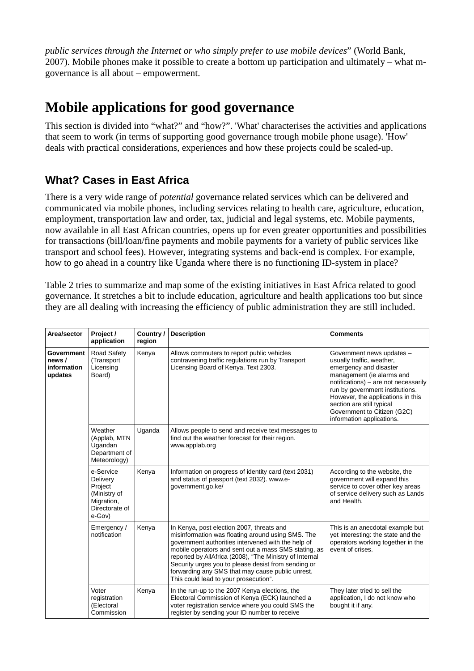*public services through the Internet or who simply prefer to use mobile devices*" (World Bank, 2007). Mobile phones make it possible to create a bottom up participation and ultimately – what mgovernance is all about – empowerment.

## **Mobile applications for good governance**

This section is divided into "what?" and "how?". 'What' characterises the activities and applications that seem to work (in terms of supporting good governance trough mobile phone usage). 'How' deals with practical considerations, experiences and how these projects could be scaled-up.

### **What? Cases in East Africa**

There is a very wide range of *potential* governance related services which can be delivered and communicated via mobile phones, including services relating to health care, agriculture, education, employment, transportation law and order, tax, judicial and legal systems, etc. Mobile payments, now available in all East African countries, opens up for even greater opportunities and possibilities for transactions (bill/loan/fine payments and mobile payments for a variety of public services like transport and school fees). However, integrating systems and back-end is complex. For example, how to go ahead in a country like Uganda where there is no functioning ID-system in place?

Table 2 tries to summarize and map some of the existing initiatives in East Africa related to good governance. It stretches a bit to include education, agriculture and health applications too but since they are all dealing with increasing the efficiency of public administration they are still included.

| Area/sector                                          | Project /<br>application                                                                   | Country/<br>region | <b>Description</b>                                                                                                                                                                                                                                                                                                                                                                                                          | <b>Comments</b>                                                                                                                                                                                                                                                                                                        |
|------------------------------------------------------|--------------------------------------------------------------------------------------------|--------------------|-----------------------------------------------------------------------------------------------------------------------------------------------------------------------------------------------------------------------------------------------------------------------------------------------------------------------------------------------------------------------------------------------------------------------------|------------------------------------------------------------------------------------------------------------------------------------------------------------------------------------------------------------------------------------------------------------------------------------------------------------------------|
| <b>Government</b><br>news/<br>information<br>updates | Road Safety<br>(Transport<br>Licensing<br>Board)                                           | Kenya              | Allows commuters to report public vehicles<br>contravening traffic regulations run by Transport<br>Licensing Board of Kenya. Text 2303.                                                                                                                                                                                                                                                                                     | Government news updates -<br>usually traffic, weather,<br>emergency and disaster<br>management (ie alarms and<br>notifications) – are not necessarily<br>run by government institutions.<br>However, the applications in this<br>section are still typical<br>Government to Citizen (G2C)<br>information applications. |
|                                                      | Weather<br>(Applab, MTN<br>Ugandan<br>Department of<br>Meteorology)                        | Uganda             | Allows people to send and receive text messages to<br>find out the weather forecast for their region.<br>www.applab.org                                                                                                                                                                                                                                                                                                     |                                                                                                                                                                                                                                                                                                                        |
|                                                      | e-Service<br>Delivery<br>Project<br>(Ministry of<br>Migration,<br>Directorate of<br>e-Gov) | Kenya              | Information on progress of identity card (text 2031)<br>and status of passport (text 2032). www.e-<br>government.go.ke/                                                                                                                                                                                                                                                                                                     | According to the website, the<br>government will expand this<br>service to cover other key areas<br>of service delivery such as Lands<br>and Health.                                                                                                                                                                   |
|                                                      | Emergency /<br>notification                                                                | Kenya              | In Kenya, post election 2007, threats and<br>misinformation was floating around using SMS. The<br>government authorities intervened with the help of<br>mobile operators and sent out a mass SMS stating, as<br>reported by AllAfrica (2008), "The Ministry of Internal<br>Security urges you to please desist from sending or<br>forwarding any SMS that may cause public unrest.<br>This could lead to your prosecution". | This is an anecdotal example but<br>yet interesting: the state and the<br>operators working together in the<br>event of crises.                                                                                                                                                                                        |
|                                                      | Voter<br>registration<br>(Electoral<br>Commission                                          | Kenya              | In the run-up to the 2007 Kenya elections, the<br>Electoral Commission of Kenya (ECK) launched a<br>voter registration service where you could SMS the<br>register by sending your ID number to receive                                                                                                                                                                                                                     | They later tried to sell the<br>application, I do not know who<br>bought it if any.                                                                                                                                                                                                                                    |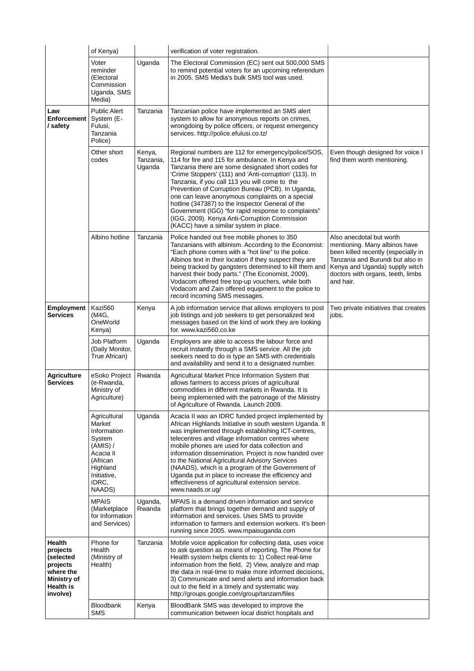|                                                                                                  | of Kenya)                                                                                                                          |                               | verification of voter registration.                                                                                                                                                                                                                                                                                                                                                                                                                                                                                                                                                    |                                                                                                                                                                                                                          |
|--------------------------------------------------------------------------------------------------|------------------------------------------------------------------------------------------------------------------------------------|-------------------------------|----------------------------------------------------------------------------------------------------------------------------------------------------------------------------------------------------------------------------------------------------------------------------------------------------------------------------------------------------------------------------------------------------------------------------------------------------------------------------------------------------------------------------------------------------------------------------------------|--------------------------------------------------------------------------------------------------------------------------------------------------------------------------------------------------------------------------|
|                                                                                                  | Voter<br>reminder<br>(Electoral<br>Commission<br>Uganda, SMS<br>Media)                                                             | Uganda                        | The Electoral Commission (EC) sent out 500,000 SMS<br>to remind potential voters for an upcoming referendum<br>in 2005. SMS Media's bulk SMS tool was used.                                                                                                                                                                                                                                                                                                                                                                                                                            |                                                                                                                                                                                                                          |
| Law<br><b>Enforcement</b><br>/ safety                                                            | <b>Public Alert</b><br>System (E-<br>Fulusi,<br>Tanzania<br>Police)                                                                | Tanzania                      | Tanzanian police have implemented an SMS alert<br>system to allow for anonymous reports on crimes,<br>wrongdoing by police officers, or request emergency<br>services. http://police.efulusi.co.tz/                                                                                                                                                                                                                                                                                                                                                                                    |                                                                                                                                                                                                                          |
|                                                                                                  | Other short<br>codes                                                                                                               | Kenya,<br>Tanzania,<br>Uganda | Regional numbers are 112 for emergency/police/SOS,<br>114 for fire and 115 for ambulance. In Kenya and<br>Tanzania there are some designated short codes for<br>'Crime Stoppers' (111) and 'Anti-corruption' (113). In<br>Tanzania, if you call 113 you will come to the<br>Prevention of Corruption Bureau (PCB). In Uganda,<br>one can leave anonymous complaints on a special<br>hotline (347387) to the Inspector General of the<br>Government (IGG) "for rapid response to complaints"<br>(IGG, 2009). Kenya Anti-Corruption Commission<br>(KACC) have a similar system in place. | Even though designed for voice I<br>find them worth mentioning.                                                                                                                                                          |
|                                                                                                  | Albino hotline                                                                                                                     | Tanzania                      | Police handed out free mobile phones to 350<br>Tanzanians with albinism. According to the Economist:<br>"Each phone comes with a "hot line" to the police.<br>Albinos text in their location if they suspect they are<br>being tracked by gangsters determined to kill them and<br>harvest their body parts." (The Economist, 2009).<br>Vodacom offered free top-up vouchers, while both<br>Vodacom and Zain offered equipment to the police to<br>record incoming SMS messages.                                                                                                       | Also anecdotal but worth<br>mentioning. Many albinos have<br>been killed recently (especially in<br>Tanzania and Burundi but also in<br>Kenya and Uganda) supply witch<br>doctors with organs, teeth, limbs<br>and hair. |
| <b>Employment</b><br><b>Services</b>                                                             | Kazi560<br>(M4G.<br>OneWorld<br>Kenya)                                                                                             | Kenya                         | A job information service that allows employers to post<br>job listings and job seekers to get personalized text<br>messages based on the kind of work they are looking<br>for. www.kazi560.co.ke                                                                                                                                                                                                                                                                                                                                                                                      | Two private initiatives that creates<br>jobs.                                                                                                                                                                            |
|                                                                                                  | Job Platform<br>(Daily Monitor,<br>True African)                                                                                   | Uganda                        | Employers are able to access the labour force and<br>recruit instantly through a SMS service. All the job<br>seekers need to do is type an SMS with credentials<br>and availability and send it to a designated number.                                                                                                                                                                                                                                                                                                                                                                |                                                                                                                                                                                                                          |
| <b>Agriculture</b><br><b>Services</b>                                                            | eSoko Project<br>(e-Rwanda,<br>Ministry of<br>Agriculture)                                                                         | Rwanda                        | Agricultural Market Price Information System that<br>allows farmers to access prices of agricultural<br>commodities in different markets in Rwanda. It is<br>being implemented with the patronage of the Ministry<br>of Agriculture of Rwanda. Launch 2009.                                                                                                                                                                                                                                                                                                                            |                                                                                                                                                                                                                          |
|                                                                                                  | Agricultural<br>Market<br>Information<br>System<br>(AMIS) /<br>Acacia II<br>(African<br>Highland<br>Initiative,<br>IDRC,<br>NAADS) | Uganda                        | Acacia II was an IDRC funded project implemented by<br>African Highlands Initiative in south western Uganda. It<br>was implemented through establishing ICT-centres,<br>telecentres and village information centres where<br>mobile phones are used for data collection and<br>information dissemination. Project is now handed over<br>to the National Agricultural Advisory Services<br>(NAADS), which is a program of the Government of<br>Uganda put in place to increase the efficiency and<br>effectiveness of agricultural extension service.<br>www.naads.or.ug/               |                                                                                                                                                                                                                          |
|                                                                                                  | <b>MPAIS</b><br>(Marketplace<br>for Information<br>and Services)                                                                   | Uganda,<br>Rwanda             | MPAIS is a demand driven information and service<br>platform that brings together demand and supply of<br>information and services. Uses SMS to provide<br>information to farmers and extension workers. It's been<br>running since 2005. www.mpaisuganda.com                                                                                                                                                                                                                                                                                                                          |                                                                                                                                                                                                                          |
| Health<br>projects<br>(selected<br>projects<br>where the<br>Ministry of<br>Health is<br>involve) | Phone for<br>Health<br>(Ministry of<br>Health)                                                                                     | Tanzania                      | Mobile voice application for collecting data, uses voice<br>to ask question as means of reporting. The Phone for<br>Health system helps clients to: 1) Collect real-time<br>information from the field, 2) View, analyze and map<br>the data in real-time to make more informed decisions,<br>3) Communicate and send alerts and information back<br>out to the field in a timely and systematic way.<br>http://groups.google.com/group/tanzam/files                                                                                                                                   |                                                                                                                                                                                                                          |
|                                                                                                  | Bloodbank<br><b>SMS</b>                                                                                                            | Kenya                         | BloodBank SMS was developed to improve the<br>communication between local district hospitals and                                                                                                                                                                                                                                                                                                                                                                                                                                                                                       |                                                                                                                                                                                                                          |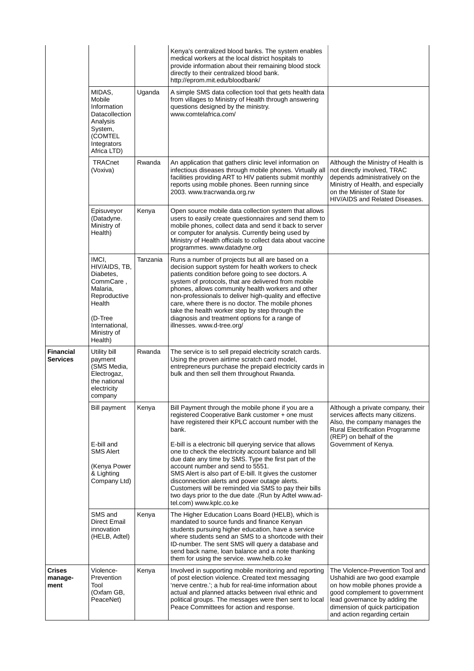|                           |                                                                                                                                               |          | Kenya's centralized blood banks. The system enables<br>medical workers at the local district hospitals to<br>provide information about their remaining blood stock<br>directly to their centralized blood bank.<br>http://eprom.mit.edu/bloodbank/                                                                                                                                                                                                                                                                                                                                                                                             |                                                                                                                                                                                                                                           |
|---------------------------|-----------------------------------------------------------------------------------------------------------------------------------------------|----------|------------------------------------------------------------------------------------------------------------------------------------------------------------------------------------------------------------------------------------------------------------------------------------------------------------------------------------------------------------------------------------------------------------------------------------------------------------------------------------------------------------------------------------------------------------------------------------------------------------------------------------------------|-------------------------------------------------------------------------------------------------------------------------------------------------------------------------------------------------------------------------------------------|
|                           | MIDAS,<br>Mobile<br>Information<br>Datacollection<br>Analysis<br>System,<br>(COMTEL<br>Integrators<br>Africa LTD)                             | Uganda   | A simple SMS data collection tool that gets health data<br>from villages to Ministry of Health through answering<br>questions designed by the ministry.<br>www.comtelafrica.com/                                                                                                                                                                                                                                                                                                                                                                                                                                                               |                                                                                                                                                                                                                                           |
|                           | <b>TRACnet</b><br>(Voxiva)                                                                                                                    | Rwanda   | An application that gathers clinic level information on<br>infectious diseases through mobile phones. Virtually all<br>facilities providing ART to HIV patients submit monthly<br>reports using mobile phones. Been running since<br>2003. www.tracrwanda.org.rw                                                                                                                                                                                                                                                                                                                                                                               | Although the Ministry of Health is<br>not directly involved, TRAC<br>depends administratively on the<br>Ministry of Health, and especially<br>on the Minister of State for<br>HIV/AIDS and Related Diseases.                              |
|                           | Episuveyor<br>(Datadyne.<br>Ministry of<br>Health)                                                                                            | Kenya    | Open source mobile data collection system that allows<br>users to easily create questionnaires and send them to<br>mobile phones, collect data and send it back to server<br>or computer for analysis. Currently being used by<br>Ministry of Health officials to collect data about vaccine<br>programmes. www.datadyne.org                                                                                                                                                                                                                                                                                                                   |                                                                                                                                                                                                                                           |
|                           | IMCI,<br>HIV/AIDS, TB,<br>Diabetes,<br>CommCare,<br>Malaria,<br>Reproductive<br>Health<br>(D-Tree<br>International,<br>Ministry of<br>Health) | Tanzania | Runs a number of projects but all are based on a<br>decision support system for health workers to check<br>patients condition before going to see doctors. A<br>system of protocols, that are delivered from mobile<br>phones, allows community health workers and other<br>non-professionals to deliver high-quality and effective<br>care, where there is no doctor. The mobile phones<br>take the health worker step by step through the<br>diagnosis and treatment options for a range of<br>illnesses. www.d-tree.org/                                                                                                                    |                                                                                                                                                                                                                                           |
| Financial<br>Services     | Utility bill<br>payment<br>(SMS Media,<br>Electrogaz,<br>the national<br>electricity<br>company                                               | Rwanda   | The service is to sell prepaid electricity scratch cards.<br>Using the proven airtime scratch card model,<br>entrepreneurs purchase the prepaid electricity cards in<br>bulk and then sell them throughout Rwanda.                                                                                                                                                                                                                                                                                                                                                                                                                             |                                                                                                                                                                                                                                           |
|                           | <b>Bill payment</b><br>E-bill and<br><b>SMS Alert</b><br>(Kenya Power<br>& Lighting<br>Company Ltd)                                           | Kenya    | Bill Payment through the mobile phone if you are a<br>registered Cooperative Bank customer + one must<br>have registered their KPLC account number with the<br>bank.<br>E-bill is a electronic bill querying service that allows<br>one to check the electricity account balance and bill<br>due date any time by SMS. Type the first part of the<br>account number and send to 5551.<br>SMS Alert is also part of E-bill. It gives the customer<br>disconnection alerts and power outage alerts.<br>Customers will be reminded via SMS to pay their bills<br>two days prior to the due date .(Run by Adtel www.ad-<br>tel.com) www.kplc.co.ke | Although a private company, their<br>services affects many citizens.<br>Also, the company manages the<br><b>Rural Electrification Programme</b><br>(REP) on behalf of the<br>Government of Kenya.                                         |
|                           | SMS and<br>Direct Email<br>innovation<br>(HELB, Adtel)                                                                                        | Kenya    | The Higher Education Loans Board (HELB), which is<br>mandated to source funds and finance Kenyan<br>students pursuing higher education, have a service<br>where students send an SMS to a shortcode with their<br>ID-number. The sent SMS will query a database and<br>send back name, loan balance and a note thanking<br>them for using the service. www.helb.co.ke                                                                                                                                                                                                                                                                          |                                                                                                                                                                                                                                           |
| Crises<br>manage-<br>ment | Violence-<br>Prevention<br>Tool<br>(Oxfam GB,<br>PeaceNet)                                                                                    | Kenya    | Involved in supporting mobile monitoring and reporting<br>of post election violence. Created text messaging<br>'nerve centre.'; a hub for real-time information about<br>actual and planned attacks between rival ethnic and<br>political groups. The messages were then sent to local<br>Peace Committees for action and response.                                                                                                                                                                                                                                                                                                            | The Violence-Prevention Tool and<br>Ushahidi are two good example<br>on how mobile phones provide a<br>good complement to government<br>lead governance by adding the<br>dimension of quick participation<br>and action regarding certain |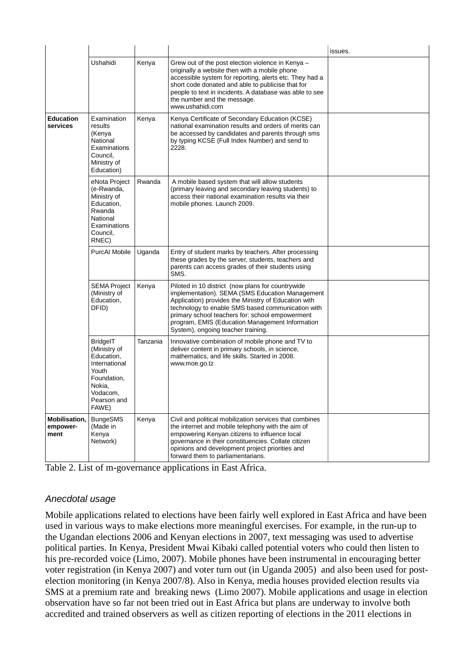|                                          |                                                                                                                                      |          |                                                                                                                                                                                                                                                                                                                                                               | issues. |
|------------------------------------------|--------------------------------------------------------------------------------------------------------------------------------------|----------|---------------------------------------------------------------------------------------------------------------------------------------------------------------------------------------------------------------------------------------------------------------------------------------------------------------------------------------------------------------|---------|
|                                          | Ushahidi                                                                                                                             | Kenya    | Grew out of the post election violence in Kenya -<br>originally a website then with a mobile phone<br>accessible system for reporting, alerts etc. They had a<br>short code donated and able to publicise that for<br>people to text in incidents. A database was able to see<br>the number and the message.<br>www.ushahidi.com                              |         |
| <b>Education</b><br>services             | Examination<br>results<br>(Kenya<br>National<br>Examinations<br>Council,<br>Ministry of<br>Education)                                | Kenya    | Kenya Certificate of Secondary Education (KCSE)<br>national examination results and orders of merits can<br>be accessed by candidates and parents through sms<br>by typing KCSE (Full Index Number) and send to<br>2228.                                                                                                                                      |         |
|                                          | eNota Project<br>(e-Rwanda,<br>Ministry of<br>Education.<br>Rwanda<br>National<br>Examinations<br>Council,<br>RNEC)                  | Rwanda   | A mobile based system that will allow students<br>(primary leaving and secondary leaving students) to<br>access their national examination results via their<br>mobile phones. Launch 2009.                                                                                                                                                                   |         |
|                                          | <b>PurcAI Mobile</b>                                                                                                                 | Uganda   | Entry of student marks by teachers. After processing<br>these grades by the server, students, teachers and<br>parents can access grades of their students using<br>SMS.                                                                                                                                                                                       |         |
|                                          | <b>SEMA Project</b><br>(Ministry of<br>Education,<br>DFID)                                                                           | Kenya    | Piloted in 10 district (now plans for countrywide<br>implementation). SEMA (SMS Education Management<br>Application) provides the Ministry of Education with<br>technology to enable SMS based communication with<br>primary school teachers for: school empowerment<br>program, EMIS (Education Management Information<br>System), ongoing teacher training. |         |
|                                          | <b>BridgelT</b><br>(Ministry of<br>Education,<br>International<br>Youth<br>Foundation,<br>Nokia,<br>Vodacom,<br>Pearson and<br>FAWE) | Tanzania | Innovative combination of mobile phone and TV to<br>deliver content in primary schools, in science,<br>mathematics, and life skills. Started in 2008.<br>www.moe.go.tz                                                                                                                                                                                        |         |
| <b>Mobilisation,</b><br>empower-<br>ment | <b>BungeSMS</b><br>(Made in<br>Kenya<br>Network)                                                                                     | Kenya    | Civil and political mobilization services that combines<br>the internet and mobile telephony with the aim of<br>empowering Kenyan citizens to influence local<br>governance in their constituencies. Collate citizen<br>opinions and development project priorities and<br>forward them to parliamentarians.                                                  |         |

Table 2. List of m-governance applications in East Africa.

#### Anecdotal usage

Mobile applications related to elections have been fairly well explored in East Africa and have been used in various ways to make elections more meaningful exercises. For example, in the run-up to the Ugandan elections 2006 and Kenyan elections in 2007, text messaging was used to advertise political parties. In Kenya, President Mwai Kibaki called potential voters who could then listen to his pre-recorded voice (Limo, 2007). Mobile phones have been instrumental in encouraging better voter registration (in Kenya 2007) and voter turn out (in Uganda 2005) and also been used for postelection monitoring (in Kenya 2007/8). Also in Kenya, media houses provided election results via SMS at a premium rate and breaking news (Limo 2007). Mobile applications and usage in election observation have so far not been tried out in East Africa but plans are underway to involve both accredited and trained observers as well as citizen reporting of elections in the 2011 elections in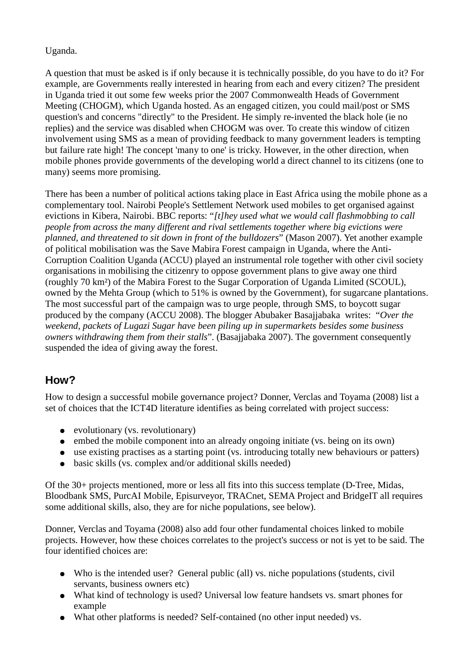#### Uganda.

A question that must be asked is if only because it is technically possible, do you have to do it? For example, are Governments really interested in hearing from each and every citizen? The president in Uganda tried it out some few weeks prior the 2007 Commonwealth Heads of Government Meeting (CHOGM), which Uganda hosted. As an engaged citizen, you could mail/post or SMS question's and concerns "directly" to the President. He simply re-invented the black hole (ie no replies) and the service was disabled when CHOGM was over. To create this window of citizen involvement using SMS as a mean of providing feedback to many government leaders is tempting but failure rate high! The concept 'many to one' is tricky. However, in the other direction, when mobile phones provide governments of the developing world a direct channel to its citizens (one to many) seems more promising.

There has been a number of political actions taking place in East Africa using the mobile phone as a complementary tool. Nairobi People's Settlement Network used mobiles to get organised against evictions in Kibera, Nairobi. BBC reports: "*[t]hey used what we would call flashmobbing to call people from across the many different and rival settlements together where big evictions were planned, and threatened to sit down in front of the bulldozers*" (Mason 2007). Yet another example of political mobilisation was the Save Mabira Forest campaign in Uganda, where the Anti-Corruption Coalition Uganda (ACCU) played an instrumental role together with other civil society organisations in mobilising the citizenry to oppose government plans to give away one third (roughly 70 km²) of the Mabira Forest to the Sugar Corporation of Uganda Limited (SCOUL), owned by the Mehta Group (which to 51% is owned by the Government), for sugarcane plantations. The most successful part of the campaign was to urge people, through SMS, to boycott sugar produced by the company (ACCU 2008). The blogger Abubaker Basajjabaka writes: "*Over the weekend, packets of Lugazi Sugar have been piling up in supermarkets besides some business owners withdrawing them from their stalls*". (Basajjabaka 2007). The government consequently suspended the idea of giving away the forest.

### **How?**

How to design a successful mobile governance project? Donner, Verclas and Toyama (2008) list a set of choices that the ICT4D literature identifies as being correlated with project success:

- evolutionary (vs. revolutionary)
- embed the mobile component into an already ongoing initiate (vs. being on its own)
- use existing practises as a starting point (vs. introducing totally new behaviours or patters)
- basic skills (vs. complex and/or additional skills needed)

Of the 30+ projects mentioned, more or less all fits into this success template (D-Tree, Midas, Bloodbank SMS, PurcAI Mobile, Episurveyor, TRACnet, SEMA Project and BridgeIT all requires some additional skills, also, they are for niche populations, see below).

Donner, Verclas and Toyama (2008) also add four other fundamental choices linked to mobile projects. However, how these choices correlates to the project's success or not is yet to be said. The four identified choices are:

- Who is the intended user? General public (all) vs. niche populations (students, civil servants, business owners etc)
- What kind of technology is used? Universal low feature handsets vs. smart phones for example
- What other platforms is needed? Self-contained (no other input needed) vs.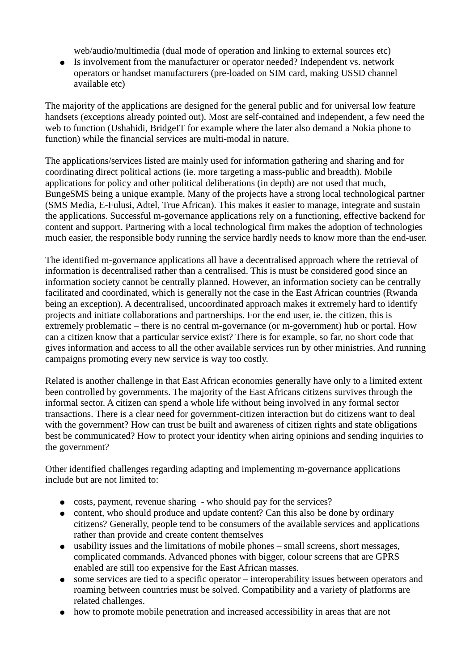web/audio/multimedia (dual mode of operation and linking to external sources etc)

● Is involvement from the manufacturer or operator needed? Independent vs. network operators or handset manufacturers (pre-loaded on SIM card, making USSD channel available etc)

The majority of the applications are designed for the general public and for universal low feature handsets (exceptions already pointed out). Most are self-contained and independent, a few need the web to function (Ushahidi, BridgeIT for example where the later also demand a Nokia phone to function) while the financial services are multi-modal in nature.

The applications/services listed are mainly used for information gathering and sharing and for coordinating direct political actions (ie. more targeting a mass-public and breadth). Mobile applications for policy and other political deliberations (in depth) are not used that much, BungeSMS being a unique example. Many of the projects have a strong local technological partner (SMS Media, E-Fulusi, Adtel, True African). This makes it easier to manage, integrate and sustain the applications. Successful m-governance applications rely on a functioning, effective backend for content and support. Partnering with a local technological firm makes the adoption of technologies much easier, the responsible body running the service hardly needs to know more than the end-user.

The identified m-governance applications all have a decentralised approach where the retrieval of information is decentralised rather than a centralised. This is must be considered good since an information society cannot be centrally planned. However, an information society can be centrally facilitated and coordinated, which is generally not the case in the East African countries (Rwanda being an exception). A decentralised, uncoordinated approach makes it extremely hard to identify projects and initiate collaborations and partnerships. For the end user, ie. the citizen, this is extremely problematic – there is no central m-governance (or m-government) hub or portal. How can a citizen know that a particular service exist? There is for example, so far, no short code that gives information and access to all the other available services run by other ministries. And running campaigns promoting every new service is way too costly.

Related is another challenge in that East African economies generally have only to a limited extent been controlled by governments. The majority of the East Africans citizens survives through the informal sector. A citizen can spend a whole life without being involved in any formal sector transactions. There is a clear need for government-citizen interaction but do citizens want to deal with the government? How can trust be built and awareness of citizen rights and state obligations best be communicated? How to protect your identity when airing opinions and sending inquiries to the government?

Other identified challenges regarding adapting and implementing m-governance applications include but are not limited to:

- costs, payment, revenue sharing who should pay for the services?
- content, who should produce and update content? Can this also be done by ordinary citizens? Generally, people tend to be consumers of the available services and applications rather than provide and create content themselves
- usability issues and the limitations of mobile phones small screens, short messages, complicated commands. Advanced phones with bigger, colour screens that are GPRS enabled are still too expensive for the East African masses.
- some services are tied to a specific operator interoperability issues between operators and roaming between countries must be solved. Compatibility and a variety of platforms are related challenges.
- how to promote mobile penetration and increased accessibility in areas that are not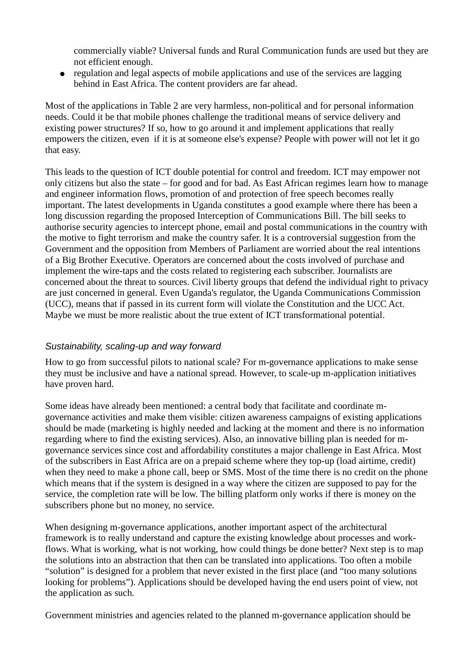commercially viable? Universal funds and Rural Communication funds are used but they are not efficient enough.

● regulation and legal aspects of mobile applications and use of the services are lagging behind in East Africa. The content providers are far ahead.

Most of the applications in Table 2 are very harmless, non-political and for personal information needs. Could it be that mobile phones challenge the traditional means of service delivery and existing power structures? If so, how to go around it and implement applications that really empowers the citizen, even if it is at someone else's expense? People with power will not let it go that easy.

This leads to the question of ICT double potential for control and freedom. ICT may empower not only citizens but also the state – for good and for bad. As East African regimes learn how to manage and engineer information flows, promotion of and protection of free speech becomes really important. The latest developments in Uganda constitutes a good example where there has been a long discussion regarding the proposed Interception of Communications Bill. The bill seeks to authorise security agencies to intercept phone, email and postal communications in the country with the motive to fight terrorism and make the country safer. It is a controversial suggestion from the Government and the opposition from Members of Parliament are worried about the real intentions of a Big Brother Executive. Operators are concerned about the costs involved of purchase and implement the wire-taps and the costs related to registering each subscriber. Journalists are concerned about the threat to sources. Civil liberty groups that defend the individual right to privacy are just concerned in general. Even Uganda's regulator, the Uganda Communications Commission (UCC), means that if passed in its current form will violate the Constitution and the UCC Act. Maybe we must be more realistic about the true extent of ICT transformational potential.

#### Sustainability, scaling-up and way forward

How to go from successful pilots to national scale? For m-governance applications to make sense they must be inclusive and have a national spread. However, to scale-up m-application initiatives have proven hard.

Some ideas have already been mentioned: a central body that facilitate and coordinate mgovernance activities and make them visible: citizen awareness campaigns of existing applications should be made (marketing is highly needed and lacking at the moment and there is no information regarding where to find the existing services). Also, an innovative billing plan is needed for mgovernance services since cost and affordability constitutes a major challenge in East Africa. Most of the subscribers in East Africa are on a prepaid scheme where they top-up (load airtime, credit) when they need to make a phone call, beep or SMS. Most of the time there is no credit on the phone which means that if the system is designed in a way where the citizen are supposed to pay for the service, the completion rate will be low. The billing platform only works if there is money on the subscribers phone but no money, no service.

When designing m-governance applications, another important aspect of the architectural framework is to really understand and capture the existing knowledge about processes and workflows. What is working, what is not working, how could things be done better? Next step is to map the solutions into an abstraction that then can be translated into applications. Too often a mobile "solution" is designed for a problem that never existed in the first place (and "too many solutions looking for problems"). Applications should be developed having the end users point of view, not the application as such.

Government ministries and agencies related to the planned m-governance application should be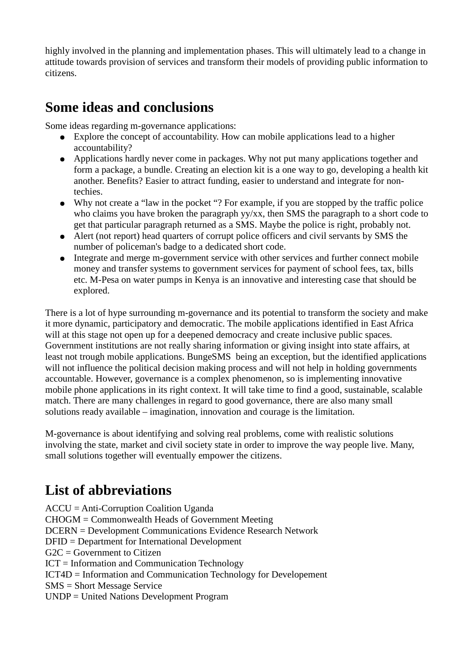highly involved in the planning and implementation phases. This will ultimately lead to a change in attitude towards provision of services and transform their models of providing public information to citizens.

### **Some ideas and conclusions**

Some ideas regarding m-governance applications:

- Explore the concept of accountability. How can mobile applications lead to a higher accountability?
- Applications hardly never come in packages. Why not put many applications together and form a package, a bundle. Creating an election kit is a one way to go, developing a health kit another. Benefits? Easier to attract funding, easier to understand and integrate for nontechies.
- Why not create a "law in the pocket"? For example, if you are stopped by the traffic police who claims you have broken the paragraph yy/xx, then SMS the paragraph to a short code to get that particular paragraph returned as a SMS. Maybe the police is right, probably not.
- Alert (not report) head quarters of corrupt police officers and civil servants by SMS the number of policeman's badge to a dedicated short code.
- Integrate and merge m-government service with other services and further connect mobile money and transfer systems to government services for payment of school fees, tax, bills etc. M-Pesa on water pumps in Kenya is an innovative and interesting case that should be explored.

There is a lot of hype surrounding m-governance and its potential to transform the society and make it more dynamic, participatory and democratic. The mobile applications identified in East Africa will at this stage not open up for a deepened democracy and create inclusive public spaces. Government institutions are not really sharing information or giving insight into state affairs, at least not trough mobile applications. BungeSMS being an exception, but the identified applications will not influence the political decision making process and will not help in holding governments accountable. However, governance is a complex phenomenon, so is implementing innovative mobile phone applications in its right context. It will take time to find a good, sustainable, scalable match. There are many challenges in regard to good governance, there are also many small solutions ready available – imagination, innovation and courage is the limitation.

M-governance is about identifying and solving real problems, come with realistic solutions involving the state, market and civil society state in order to improve the way people live. Many, small solutions together will eventually empower the citizens.

## **List of abbreviations**

ACCU = Anti-Corruption Coalition Uganda CHOGM = Commonwealth Heads of Government Meeting DCERN = Development Communications Evidence Research Network DFID = Department for International Development  $G2C = Government to Citizen$ ICT = Information and Communication Technology ICT4D = Information and Communication Technology for Developement SMS = Short Message Service UNDP = United Nations Development Program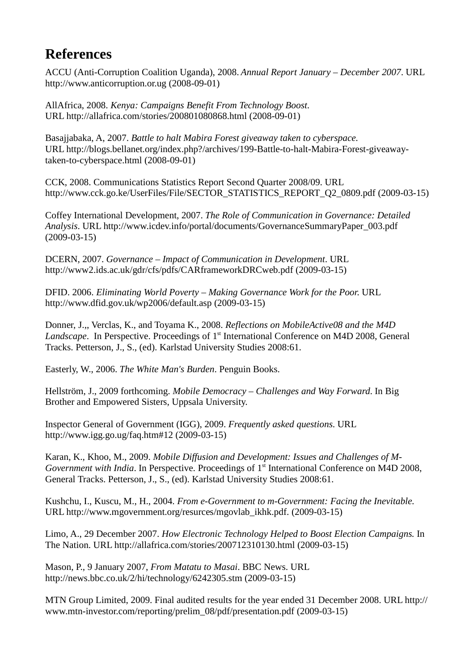### **References**

ACCU (Anti-Corruption Coalition Uganda), 2008. *Annual Report January – December 2007*. URL http://www.anticorruption.or.ug (2008-09-01)

AllAfrica, 2008. *Kenya: Campaigns Benefit From Technology Boost*. URL http://allafrica.com/stories/200801080868.html (2008-09-01)

Basajjabaka, A, 2007. *Battle to halt Mabira Forest giveaway taken to cyberspace.* URL http://blogs.bellanet.org/index.php?/archives/199-Battle-to-halt-Mabira-Forest-giveawaytaken-to-cyberspace.html (2008-09-01)

CCK, 2008. Communications Statistics Report Second Quarter 2008/09. URL http://www.cck.go.ke/UserFiles/File/SECTOR\_STATISTICS\_REPORT\_Q2\_0809.pdf (2009-03-15)

Coffey International Development, 2007. *The Role of Communication in Governance: Detailed Analysis*. URL http://www.icdev.info/portal/documents/GovernanceSummaryPaper\_003.pdf (2009-03-15)

DCERN, 2007. *Governance – Impact of Communication in Development*. URL http://www2.ids.ac.uk/gdr/cfs/pdfs/CARframeworkDRCweb.pdf (2009-03-15)

DFID. 2006. *Eliminating World Poverty – Making Governance Work for the Poor*. URL http://www.dfid.gov.uk/wp2006/default.asp (2009-03-15)

Donner, J.,, Verclas, K., and Toyama K., 2008. *Reflections on MobileActive08 and the M4D Landscape*. In Perspective. Proceedings of 1<sup>st</sup> International Conference on M4D 2008, General Tracks. Petterson, J., S., (ed). Karlstad University Studies 2008:61.

Easterly, W., 2006. *The White Man's Burden*. Penguin Books.

Hellström, J., 2009 forthcoming. *Mobile Democracy – Challenges and Way Forward*. In Big Brother and Empowered Sisters, Uppsala University.

Inspector General of Government (IGG), 2009. *Frequently asked questions*. URL http://www.igg.go.ug/faq.htm#12 (2009-03-15)

Karan, K., Khoo, M., 2009. *Mobile Diffusion and Development: Issues and Challenges of M-Government with India.* In Perspective. Proceedings of 1<sup>st</sup> International Conference on M4D 2008, General Tracks. Petterson, J., S., (ed). Karlstad University Studies 2008:61.

Kushchu, I., Kuscu, M., H., 2004. *From e-Government to m-Government: Facing the Inevitable.* URL http://www.mgovernment.org/resurces/mgovlab\_ikhk.pdf. (2009-03-15)

Limo, A., 29 December 2007. *How Electronic Technology Helped to Boost Election Campaigns.* In The Nation. URL http://allafrica.com/stories/200712310130.html (2009-03-15)

Mason, P., 9 January 2007, *From Matatu to Masai*. BBC News. URL http://news.bbc.co.uk/2/hi/technology/6242305.stm (2009-03-15)

MTN Group Limited, 2009. Final audited results for the year ended 31 December 2008. URL http:// www.mtn-investor.com/reporting/prelim\_08/pdf/presentation.pdf (2009-03-15)